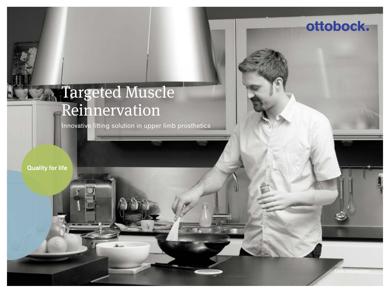# Targeted Muscle Reinnervation

Innovative fitting solution in upper limb prosthetics

**Quality for life** 

ottobock.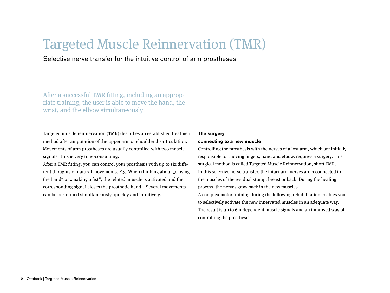## Targeted Muscle Reinnervation (TMR)

Selective nerve transfer for the intuitive control of arm prostheses

After a successful TMR fitting, including an appropriate training, the user is able to move the hand, the wrist, and the elbow simultaneously

Targeted muscle reinnervation (TMR) describes an established treatment method after amputation of the upper arm or shoulder disarticulation. Movements of arm prostheses are usually controlled with two muscle signals. This is very time-consuming.

After a TMR fitting, you can control your prosthesis with up to six different thoughts of natural movements. E.g. When thinking about "closing the hand "or , making a fist", the related muscle is activated and the corresponding signal closes the prosthetic hand. Several movements can be performed simultaneously, quickly and intuitively.

#### **The surgery:**

#### **connecting to a new muscle**

Controlling the prosthesis with the nerves of a lost arm, which are initially responsible for moving fingers, hand and elbow, requires a surgery. This surgical method is called Targeted Muscle Reinnervation, short TMR. In this selective nerve transfer, the intact arm nerves are reconnected to the muscles of the residual stump, breast or back. During the healing process, the nerves grow back in the new muscles. A complex motor training during the following rehabilitation enables you to selectively activate the new innervated muscles in an adequate way. The result is up to 6 independent muscle signals and an improved way of controlling the prosthesis.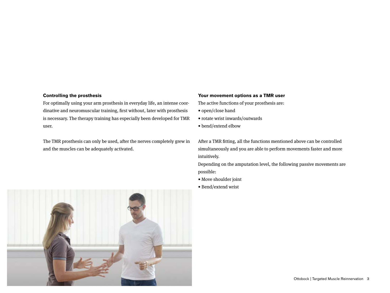#### **Controlling the prosthesis**

For optimally using your arm prosthesis in everyday life, an intense coordinative and neuromuscular training, first without, later with prosthesis is necessary. The therapy training has especially been developed for TMR user.

The TMR prosthesis can only be used, after the nerves completely grew in and the muscles can be adequately activated.

#### **Your movement options as a TMR user**

The active functions of your prosthesis are:

- open/close hand
- rotate wrist inwards/outwards
- bend/extend elbow

After a TMR fitting, all the functions mentioned above can be controlled simultaneously and you are able to perform movements faster and more intuitively.

Depending on the amputation level, the following passive movements are possible:

- Move shoulder joint
- Bend/extend wrist

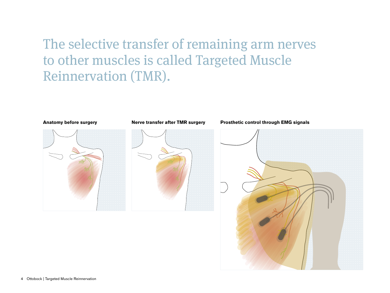## The selective transfer of remaining arm nerves to other muscles is called Targeted Muscle Reinnervation (TMR).

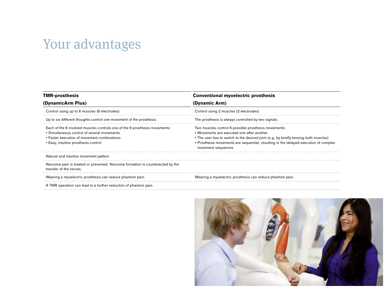## Your advantages

| <b>TMR-prosthesis</b><br>(DynamicArm Plus)                                                                                                                                                                       | <b>Conventional myoelectric prosthesis</b><br>(Dynamic Arm)                                                                                                                                                                                                                                              |                                                                     |                                                     |
|------------------------------------------------------------------------------------------------------------------------------------------------------------------------------------------------------------------|----------------------------------------------------------------------------------------------------------------------------------------------------------------------------------------------------------------------------------------------------------------------------------------------------------|---------------------------------------------------------------------|-----------------------------------------------------|
|                                                                                                                                                                                                                  |                                                                                                                                                                                                                                                                                                          | Control using up to 6 muscles (6 electrodes)                        | Control using 2 muscles (2 electrodes)              |
|                                                                                                                                                                                                                  |                                                                                                                                                                                                                                                                                                          | Up to six different thoughts control one movement of the prosthesis | The prosthesis is always controlled by two signals. |
| Each of the 6 involved muscles controls one of the 6 prosthesis movements:<br>• Simultaneous control of several movements<br>• Faster execution of movement combinations<br>• Easy, intuitive prosthesis control | Two muscles control 6 possible prosthesis movements:<br>• Movements are executed one after another<br>• The user has to switch to the desired joint (e.g. by briefly tensing both muscles)<br>• Prosthesis movements are sequential, resulting in the delayed execution of complex<br>movement sequences |                                                                     |                                                     |
| Natural and intuitive movement pattern                                                                                                                                                                           |                                                                                                                                                                                                                                                                                                          |                                                                     |                                                     |
| Neuroma pain is treated or prevented. Neuroma formation is counteracted by the<br>transfer of the nerves.                                                                                                        |                                                                                                                                                                                                                                                                                                          |                                                                     |                                                     |
| Wearing a myoelectric prosthesis can reduce phantom pain.                                                                                                                                                        | Wearing a myoelectric prosthesis can reduce phantom pain.                                                                                                                                                                                                                                                |                                                                     |                                                     |
| the contract of the contract of the contract of the contract of the contract of the contract of the contract of                                                                                                  |                                                                                                                                                                                                                                                                                                          |                                                                     |                                                     |

A TMR operation can lead to a further reduction of phantom pain.

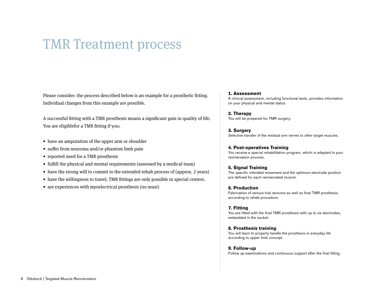## TMR Treatment process

Please consider: the process described below is an example for a prosthetic fitting. Individual changes from this example are possible.

A successful fitting with a TMR prosthesis means a significant gain in quality of life. You are eligiblefor a TMR fitting if you:

- have an amputation of the upper arm or shoulder
- suffer from neuroma and/or phantom limb pain
- reported need for a TMR prosthesis
- fulfill the physical and mental requirements (assessed by a medical team)
- have the strong will to commit to the extended rehab process of (approx. 2 years)
- have the willingness to travel; TMR fittings are only possible in special centers.
- are experiences with myoelectrical prosthesis (no must)

#### **1. Assessment**

A clinical assessment, including functional tests, provides information on your physical and mental status.

**2. Therapy** You will be prepared for TMR surgery.

**3. Surgery** Selective transfer of the residual arm nerves to other target muscles.

#### **4. Post-operatives Training**

You receive a special rehabilitation program, which is adapted to your reinnervation process.

#### **5. Signal Training**

The specific intended movement and the optimum electrode position are defined for each reinnervated muscle.

#### **6. Production**

Fabrication of various trial versions as well as final TMR prosthesis according to rehab procedure.

#### **7. Fitting**

You are fitted with the final TMR prosthesis with up to six electrodes, embedded in the socket.

#### **8. Prosthesis training**

You will learn to properly handle the prosthesis in everyday life according to upper limb concept.

#### **9. Follow-up**

Follow up examinations and continuous support after the final fitting.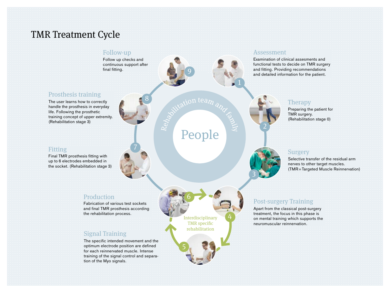## TMR Treatment Cycle

## Follow-up

Follow up checks and continuous support after final fitting.

7

8

## Prosthesis training

The user learns how to correctly handle the prosthesis in everyday life. Following the prosthetic training concept of upper extremity. (Rehabilitation stage 3)

### Fitting

Final TMR prosthesis fitting with up to 6 electrodes embedded in the socket. (Rehabilitation stage 3)

### Production

Fabrication of various test sockets and final TMR prosthesis according the rehabilitation process.

## Signal Training

The specific intended movement and the optimum electrode position are defined for each reinnervated muscle. Intense training of the signal control and separation of the Myo signals.

### Assessment

Examination of clinical assesments and functional tests to decide on TMR surgery and fitting. Providing recommendations and detailed information for the patient.

## **Therapy**

Preparing the patient for TMR surgery. (Rehabilitation stage 0)



2

### Surgery

Selective transfer of the residual arm nerves to other target muscles. (TMR=Targeted Muscle Reinnervation)

## Post-surgery Training

Apart from the classical post-surgery treatment, the focus in this phase is on mental training which supports the neuromuscular reinnervation.

Interdisciplinary 6

5

TMR specific rehabilitation

Repairies to the direct of the family of

9

People